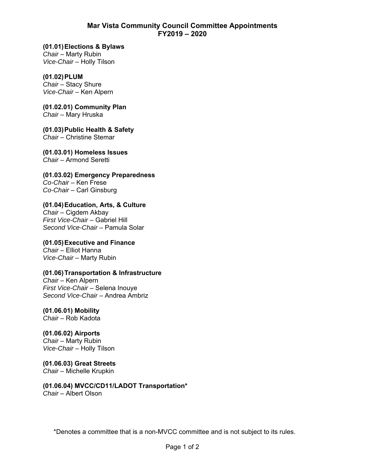## **Mar Vista Community Council Committee Appointments FY2019 – 2020**

**(01.01) Elections & Bylaws**  *Chair* – Marty Rubin *Vice-Chair* – Holly Tilson

**(01.02) PLUM**  *Chair* – Stacy Shure *Vice-Chair* – Ken Alpern

**(01.02.01) Community Plan**  *Chair* – Mary Hruska

**(01.03) Public Health & Safety**  *Chair* – Christine Stemar

**(01.03.01) Homeless Issues**  *Chair* – Armond Seretti

**(01.03.02) Emergency Preparedness**  *Co-Chair* – Ken Frese *Co-Chair* – Carl Ginsburg

**(01.04) Education, Arts, & Culture**  *Chair* – Cigdem Akbay *First Vice-Chair* – Gabriel Hill *Second Vice-Chair* – Pamula Solar

**(01.05) Executive and Finance**  *Chair* – Elliot Hanna *Vice-Chair* – Marty Rubin

**(01.06) Transportation & Infrastructure** 

*Chair* – Ken Alpern *First Vice-Chair* – Selena Inouye *Second Vice-Chair* – Andrea Ambriz

**(01.06.01) Mobility**  *Chair* – Rob Kadota

**(01.06.02) Airports**  *Chair* – Marty Rubin *Vice-Chair* – Holly Tilson

**(01.06.03) Great Streets**  *Chair* – Michelle Krupkin

**(01.06.04) MVCC/CD11/LADOT Transportation\***  *Chair* – Albert Olson

\*Denotes a committee that is a non-MVCC committee and is not subject to its rules.